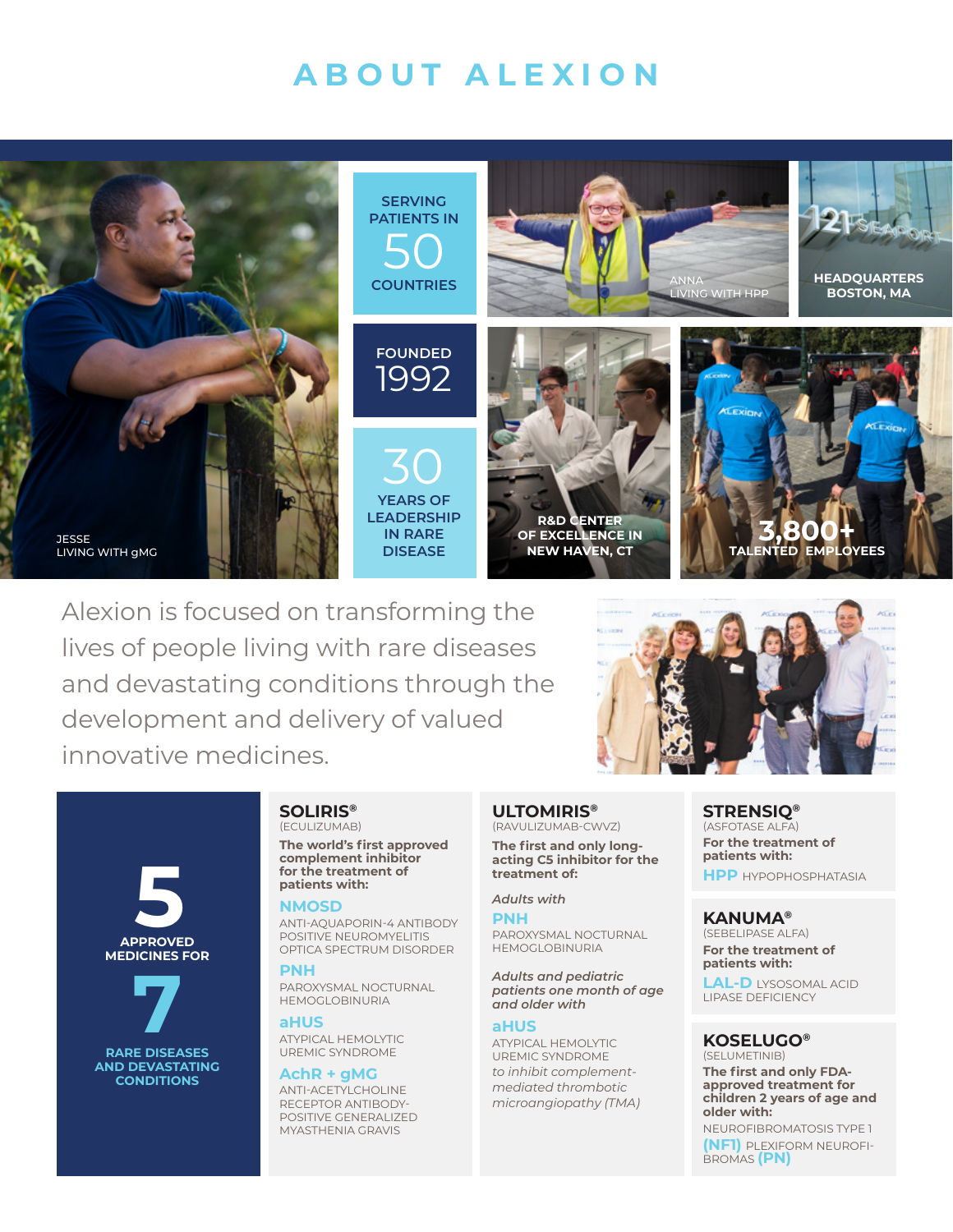# **ABOUT ALEXION**



Alexion is focused on transforming the lives of people living with rare diseases and devastating conditions through the development and delivery of valued innovative medicines.



## **SOLIRIS®** (ECULIZUMAB)

**The world's first approved complement inhibitor for the treatment of patients with:**

#### **NMOSD**

**5 APPROVED** 

**MEDICINES FOR**

 **7**

**RARE DISEASES AND DEVASTATING CONDITIONS**

ANTI-AQUAPORIN-4 ANTIBODY POSITIVE NEUROMYELITIS OPTICA SPECTRUM DISORDER

#### **PNH**

PAROXYSMAL NOCTURNAL HEMOGLOBINURIA

#### **aHUS**

ATYPICAL HEMOLYTIC UREMIC SYNDROME

## **AchR + gMG**

ANTI-ACETYLCHOLINE RECEPTOR ANTIBODY-POSITIVE GENERALIZED MYASTHENIA GRAVIS

#### **ULTOMIRIS®** (RAVULIZUMAB-CWVZ)

**The first and only longacting C5 inhibitor for the treatment of:** 

## *Adults with*

**PNH**  PAROXYSMAL NOCTURNAL HEMOGLOBINURIA

#### *Adults and pediatric patients one month of age and older with*

### **aHUS**

ATYPICAL HEMOLYTIC UREMIC SYNDROME *to inhibit complementmediated thrombotic microangiopathy (TMA)*

#### **STRENSIQ®** (ASFOTASE ALFA) **For the treatment of patients with: HPP** HYPOPHOSPHATASIA

**KANUMA®** (SEBELIPASE ALFA) **For the treatment of patients with:** 

**LAL-D** LYSOSOMAL ACID LIPASE DEFICIENCY

# **KOSELUGO®**

(SELUMETINIB) **The first and only FDAapproved treatment for children 2 years of age and older with:**

NEUROFIBROMATOSIS TYPE 1 **(NF1)** PLEXIFORM NEUROFI-BROMAS **(PN)**